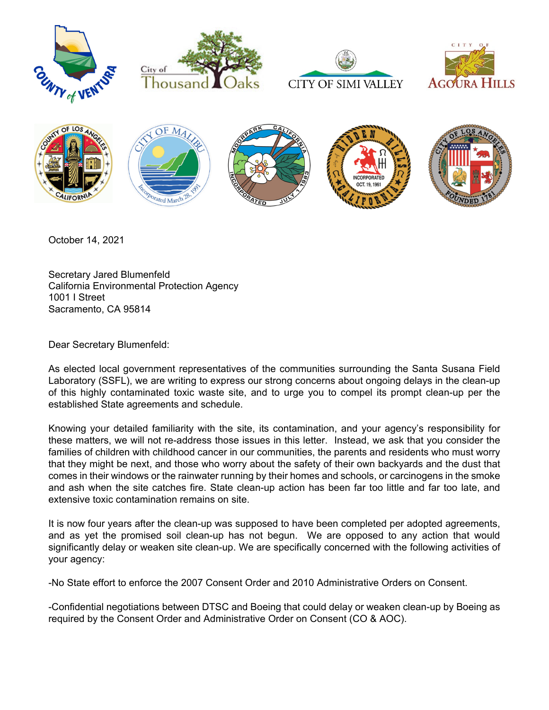









October 14, 2021

Secretary Jared Blumenfeld California Environmental Protection Agency 1001 I Street Sacramento, CA 95814

Dear Secretary Blumenfeld:

As elected local government representatives of the communities surrounding the Santa Susana Field Laboratory (SSFL), we are writing to express our strong concerns about ongoing delays in the clean-up of this highly contaminated toxic waste site, and to urge you to compel its prompt clean-up per the established State agreements and schedule.

Knowing your detailed familiarity with the site, its contamination, and your agency's responsibility for these matters, we will not re-address those issues in this letter. Instead, we ask that you consider the families of children with childhood cancer in our communities, the parents and residents who must worry that they might be next, and those who worry about the safety of their own backyards and the dust that comes in their windows or the rainwater running by their homes and schools, or carcinogens in the smoke and ash when the site catches fire. State clean-up action has been far too little and far too late, and extensive toxic contamination remains on site.

It is now four years after the clean-up was supposed to have been completed per adopted agreements, and as yet the promised soil clean-up has not begun. We are opposed to any action that would significantly delay or weaken site clean-up. We are specifically concerned with the following activities of your agency:

-No State effort to enforce the 2007 Consent Order and 2010 Administrative Orders on Consent.

-Confidential negotiations between DTSC and Boeing that could delay or weaken clean-up by Boeing as required by the Consent Order and Administrative Order on Consent (CO & AOC).